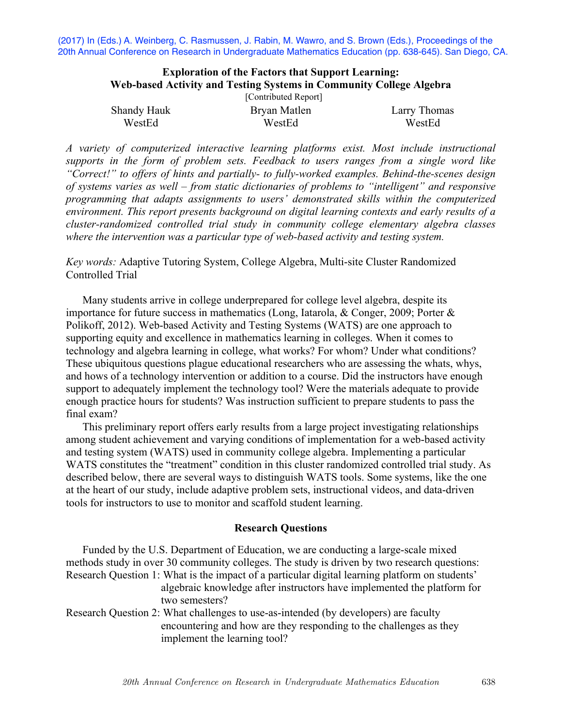(2017) In (Eds.) A. Weinberg, C. Rasmussen, J. Rabin, M. Wawro, and S. Brown (Eds.), Proceedings of the 20th Annual Conference on Research in Undergraduate Mathematics Education (pp. 638-645). San Diego, CA.

# **Exploration of the Factors that Support Learning: Web-based Activity and Testing Systems in Community College Algebra**

| [Contributed Report] |              |              |  |  |
|----------------------|--------------|--------------|--|--|
| Shandy Hauk          | Bryan Matlen | Larry Thomas |  |  |
| WestEd               | WestEd       | WestEd       |  |  |

*A variety of computerized interactive learning platforms exist. Most include instructional supports in the form of problem sets. Feedback to users ranges from a single word like "Correct!" to offers of hints and partially- to fully-worked examples. Behind-the-scenes design of systems varies as well – from static dictionaries of problems to "intelligent" and responsive programming that adapts assignments to users' demonstrated skills within the computerized environment. This report presents background on digital learning contexts and early results of a cluster-randomized controlled trial study in community college elementary algebra classes where the intervention was a particular type of web-based activity and testing system.* 

# *Key words:* Adaptive Tutoring System, College Algebra, Multi-site Cluster Randomized Controlled Trial

Many students arrive in college underprepared for college level algebra, despite its importance for future success in mathematics (Long, Iatarola, & Conger, 2009; Porter & Polikoff, 2012). Web-based Activity and Testing Systems (WATS) are one approach to supporting equity and excellence in mathematics learning in colleges. When it comes to technology and algebra learning in college, what works? For whom? Under what conditions? These ubiquitous questions plague educational researchers who are assessing the whats, whys, and hows of a technology intervention or addition to a course. Did the instructors have enough support to adequately implement the technology tool? Were the materials adequate to provide enough practice hours for students? Was instruction sufficient to prepare students to pass the final exam?

This preliminary report offers early results from a large project investigating relationships among student achievement and varying conditions of implementation for a web-based activity and testing system (WATS) used in community college algebra. Implementing a particular WATS constitutes the "treatment" condition in this cluster randomized controlled trial study. As described below, there are several ways to distinguish WATS tools. Some systems, like the one at the heart of our study, include adaptive problem sets, instructional videos, and data-driven tools for instructors to use to monitor and scaffold student learning.

### **Research Questions**

Funded by the U.S. Department of Education, we are conducting a large-scale mixed methods study in over 30 community colleges. The study is driven by two research questions: Research Question 1: What is the impact of a particular digital learning platform on students' algebraic knowledge after instructors have implemented the platform for two semesters?

Research Question 2: What challenges to use-as-intended (by developers) are faculty encountering and how are they responding to the challenges as they implement the learning tool?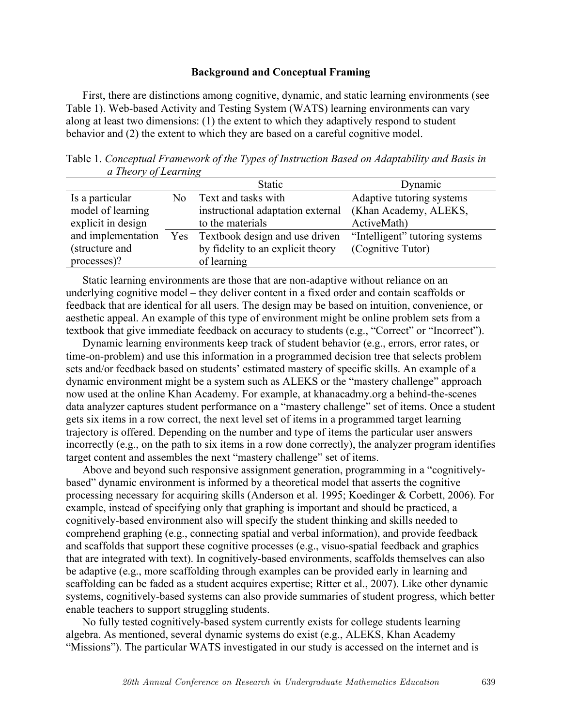## **Background and Conceptual Framing**

First, there are distinctions among cognitive, dynamic, and static learning environments (see Table 1). Web-based Activity and Testing System (WATS) learning environments can vary along at least two dimensions: (1) the extent to which they adaptively respond to student behavior and (2) the extent to which they are based on a careful cognitive model.

Table 1. *Conceptual Framework of the Types of Instruction Based on Adaptability and Basis in a Theory of Learning*

|                    |                | <b>Static</b>                                           | Dynamic                        |
|--------------------|----------------|---------------------------------------------------------|--------------------------------|
| Is a particular    | N <sub>0</sub> | Text and tasks with                                     | Adaptive tutoring systems      |
| model of learning  |                | instructional adaptation external (Khan Academy, ALEKS, |                                |
| explicit in design |                | to the materials                                        | ActiveMath)                    |
| and implementation | Yes            | Textbook design and use driven                          | "Intelligent" tutoring systems |
| (structure and     |                | by fidelity to an explicit theory                       | (Cognitive Tutor)              |
| processes)?        |                | of learning                                             |                                |

Static learning environments are those that are non-adaptive without reliance on an underlying cognitive model – they deliver content in a fixed order and contain scaffolds or feedback that are identical for all users. The design may be based on intuition, convenience, or aesthetic appeal. An example of this type of environment might be online problem sets from a textbook that give immediate feedback on accuracy to students (e.g., "Correct" or "Incorrect").

Dynamic learning environments keep track of student behavior (e.g., errors, error rates, or time-on-problem) and use this information in a programmed decision tree that selects problem sets and/or feedback based on students' estimated mastery of specific skills. An example of a dynamic environment might be a system such as ALEKS or the "mastery challenge" approach now used at the online Khan Academy. For example, at khanacadmy.org a behind-the-scenes data analyzer captures student performance on a "mastery challenge" set of items. Once a student gets six items in a row correct, the next level set of items in a programmed target learning trajectory is offered. Depending on the number and type of items the particular user answers incorrectly (e.g., on the path to six items in a row done correctly), the analyzer program identifies target content and assembles the next "mastery challenge" set of items.

Above and beyond such responsive assignment generation, programming in a "cognitivelybased" dynamic environment is informed by a theoretical model that asserts the cognitive processing necessary for acquiring skills (Anderson et al. 1995; Koedinger & Corbett, 2006). For example, instead of specifying only that graphing is important and should be practiced, a cognitively-based environment also will specify the student thinking and skills needed to comprehend graphing (e.g., connecting spatial and verbal information), and provide feedback and scaffolds that support these cognitive processes (e.g., visuo-spatial feedback and graphics that are integrated with text). In cognitively-based environments, scaffolds themselves can also be adaptive (e.g., more scaffolding through examples can be provided early in learning and scaffolding can be faded as a student acquires expertise; Ritter et al., 2007). Like other dynamic systems, cognitively-based systems can also provide summaries of student progress, which better enable teachers to support struggling students.

No fully tested cognitively-based system currently exists for college students learning algebra. As mentioned, several dynamic systems do exist (e.g., ALEKS, Khan Academy "Missions"). The particular WATS investigated in our study is accessed on the internet and is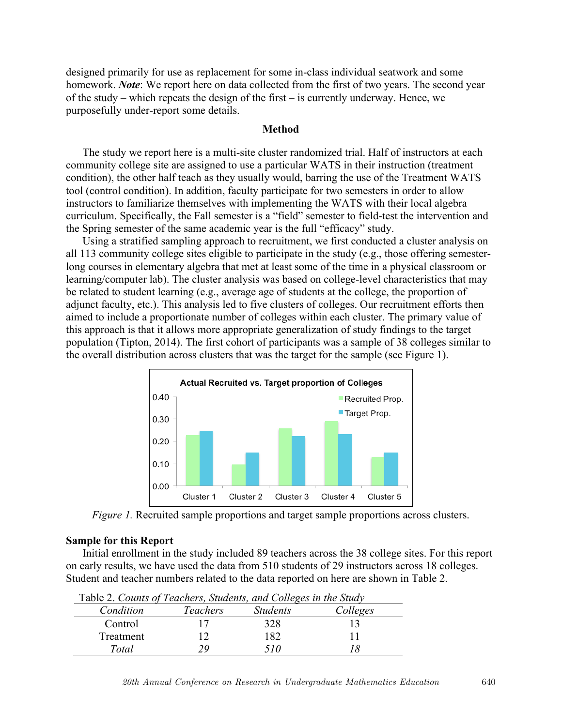designed primarily for use as replacement for some in-class individual seatwork and some homework. *Note*: We report here on data collected from the first of two years. The second year of the study – which repeats the design of the first – is currently underway. Hence, we purposefully under-report some details.

## **Method**

The study we report here is a multi-site cluster randomized trial. Half of instructors at each community college site are assigned to use a particular WATS in their instruction (treatment condition), the other half teach as they usually would, barring the use of the Treatment WATS tool (control condition). In addition, faculty participate for two semesters in order to allow instructors to familiarize themselves with implementing the WATS with their local algebra curriculum. Specifically, the Fall semester is a "field" semester to field-test the intervention and the Spring semester of the same academic year is the full "efficacy" study.

Using a stratified sampling approach to recruitment, we first conducted a cluster analysis on all 113 community college sites eligible to participate in the study (e.g., those offering semesterlong courses in elementary algebra that met at least some of the time in a physical classroom or learning/computer lab). The cluster analysis was based on college-level characteristics that may be related to student learning (e.g., average age of students at the college, the proportion of adjunct faculty, etc.). This analysis led to five clusters of colleges. Our recruitment efforts then aimed to include a proportionate number of colleges within each cluster. The primary value of this approach is that it allows more appropriate generalization of study findings to the target population (Tipton, 2014). The first cohort of participants was a sample of 38 colleges similar to the overall distribution across clusters that was the target for the sample (see Figure 1).



*Figure 1.* Recruited sample proportions and target sample proportions across clusters.

## **Sample for this Report**

Initial enrollment in the study included 89 teachers across the 38 college sites. For this report on early results, we have used the data from 510 students of 29 instructors across 18 colleges. Student and teacher numbers related to the data reported on here are shown in Table 2.

| Table 2. Counts of Teachers, Students, and Cotteges in the Study |          |                 |          |
|------------------------------------------------------------------|----------|-----------------|----------|
| Condition                                                        | Teachers | <i>Students</i> | Colleges |
| Control                                                          |          | 328             |          |
| Treatment                                                        |          | 182             |          |
| Total                                                            |          | 510             |          |

Table 2. *Counts of Teachers, Students, and Colleges in the Study*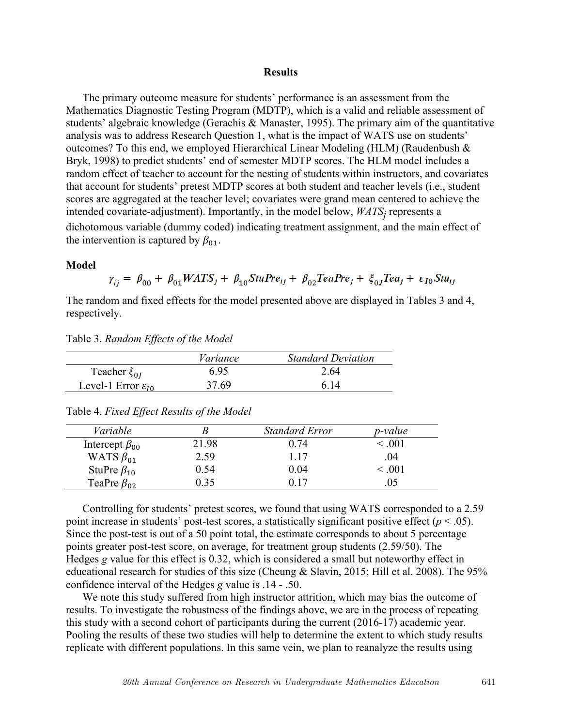### **Results**

The primary outcome measure for students' performance is an assessment from the Mathematics Diagnostic Testing Program (MDTP), which is a valid and reliable assessment of students' algebraic knowledge (Gerachis & Manaster, 1995). The primary aim of the quantitative analysis was to address Research Question 1, what is the impact of WATS use on students' outcomes? To this end, we employed Hierarchical Linear Modeling (HLM) (Raudenbush & Bryk, 1998) to predict students' end of semester MDTP scores. The HLM model includes a random effect of teacher to account for the nesting of students within instructors, and covariates that account for students' pretest MDTP scores at both student and teacher levels (i.e., student scores are aggregated at the teacher level; covariates were grand mean centered to achieve the intended covariate-adjustment). Importantly, in the model below, *WATSj* represents a dichotomous variable (dummy coded) indicating treatment assignment, and the main effect of the intervention is captured by  $\beta_{01}$ .

#### **Model**

$$
\gamma_{ij} = \beta_{00} + \beta_{01} WATS_j + \beta_{10} StuPre_{ij} + \beta_{02} TeaPre_j + \xi_{0j} Tea_j + \varepsilon_{I0} Stu_{ij}
$$

The random and fixed effects for the model presented above are displayed in Tables 3 and 4, respectively.

| Table 3. Random Effects of the Model |  |  |
|--------------------------------------|--|--|

|                                  | Variance | <b>Standard Deviation</b> |
|----------------------------------|----------|---------------------------|
| Teacher $\xi_{0I}$               | 695      | 2.64                      |
| Level-1 Error $\varepsilon_{10}$ | 37.69    | 6 14                      |

| Variable               |       | <b>Standard Error</b> | <i>p</i> -value |
|------------------------|-------|-----------------------|-----------------|
| Intercept $\beta_{00}$ | 21.98 | 0.74                  | $\leq .001$     |
| WATS $\beta_{01}$      | 2.59  | 117                   | .04             |
| StuPre $\beta_{10}$    | 0.54  | 0.04                  | $\leq .001$     |
| TeaPre $\beta_{02}$    | 0.35  | ገ 17                  |                 |

Table 4. *Fixed Effect Results of the Model*

Controlling for students' pretest scores, we found that using WATS corresponded to a 2.59 point increase in students' post-test scores, a statistically significant positive effect  $(p < .05)$ . Since the post-test is out of a 50 point total, the estimate corresponds to about 5 percentage points greater post-test score, on average, for treatment group students (2.59/50). The Hedges *g* value for this effect is 0.32, which is considered a small but noteworthy effect in educational research for studies of this size (Cheung & Slavin, 2015; Hill et al. 2008). The 95% confidence interval of the Hedges *g* value is .14 - .50.

We note this study suffered from high instructor attrition, which may bias the outcome of results. To investigate the robustness of the findings above, we are in the process of repeating this study with a second cohort of participants during the current (2016-17) academic year. Pooling the results of these two studies will help to determine the extent to which study results replicate with different populations. In this same vein, we plan to reanalyze the results using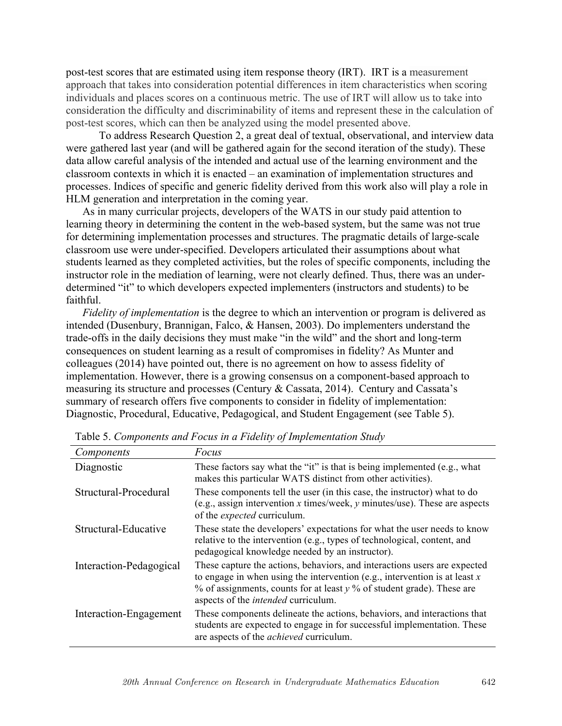post-test scores that are estimated using item response theory (IRT). IRT is a measurement approach that takes into consideration potential differences in item characteristics when scoring individuals and places scores on a continuous metric. The use of IRT will allow us to take into consideration the difficulty and discriminability of items and represent these in the calculation of post-test scores, which can then be analyzed using the model presented above.

To address Research Question 2, a great deal of textual, observational, and interview data were gathered last year (and will be gathered again for the second iteration of the study). These data allow careful analysis of the intended and actual use of the learning environment and the classroom contexts in which it is enacted – an examination of implementation structures and processes. Indices of specific and generic fidelity derived from this work also will play a role in HLM generation and interpretation in the coming year.

As in many curricular projects, developers of the WATS in our study paid attention to learning theory in determining the content in the web-based system, but the same was not true for determining implementation processes and structures. The pragmatic details of large-scale classroom use were under-specified. Developers articulated their assumptions about what students learned as they completed activities, but the roles of specific components, including the instructor role in the mediation of learning, were not clearly defined. Thus, there was an underdetermined "it" to which developers expected implementers (instructors and students) to be faithful.

*Fidelity of implementation* is the degree to which an intervention or program is delivered as intended (Dusenbury, Brannigan, Falco, & Hansen, 2003). Do implementers understand the trade-offs in the daily decisions they must make "in the wild" and the short and long-term consequences on student learning as a result of compromises in fidelity? As Munter and colleagues (2014) have pointed out, there is no agreement on how to assess fidelity of implementation. However, there is a growing consensus on a component-based approach to measuring its structure and processes (Century & Cassata, 2014). Century and Cassata's summary of research offers five components to consider in fidelity of implementation: Diagnostic, Procedural, Educative, Pedagogical, and Student Engagement (see Table 5).

| Components              | Focus                                                                                                                                                                                                                                                                                       |
|-------------------------|---------------------------------------------------------------------------------------------------------------------------------------------------------------------------------------------------------------------------------------------------------------------------------------------|
| Diagnostic              | These factors say what the "it" is that is being implemented (e.g., what<br>makes this particular WATS distinct from other activities).                                                                                                                                                     |
| Structural-Procedural   | These components tell the user (in this case, the instructor) what to do<br>(e.g., assign intervention x times/week, y minutes/use). These are aspects<br>of the <i>expected</i> curriculum.                                                                                                |
| Structural-Educative    | These state the developers' expectations for what the user needs to know<br>relative to the intervention (e.g., types of technological, content, and<br>pedagogical knowledge needed by an instructor).                                                                                     |
| Interaction-Pedagogical | These capture the actions, behaviors, and interactions users are expected<br>to engage in when using the intervention (e.g., intervention is at least $x$<br>$\%$ of assignments, counts for at least $\gamma$ % of student grade). These are<br>aspects of the <i>intended</i> curriculum. |
| Interaction-Engagement  | These components delineate the actions, behaviors, and interactions that<br>students are expected to engage in for successful implementation. These<br>are aspects of the <i>achieved</i> curriculum.                                                                                       |

Table 5. *Components and Focus in a Fidelity of Implementation Study*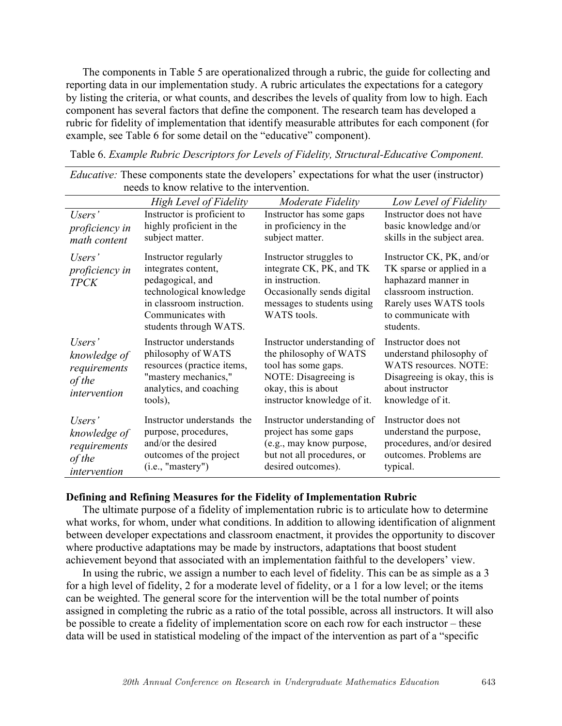The components in Table 5 are operationalized through a rubric, the guide for collecting and reporting data in our implementation study. A rubric articulates the expectations for a category by listing the criteria, or what counts, and describes the levels of quality from low to high. Each component has several factors that define the component. The research team has developed a rubric for fidelity of implementation that identify measurable attributes for each component (for example, see Table 6 for some detail on the "educative" component).

Table 6. *Example Rubric Descriptors for Levels of Fidelity, Structural-Educative Component.*

|                                                                  | <b>High Level of Fidelity</b>                                                                                                                                          | Moderate Fidelity                                                                                                                                          | Low Level of Fidelity                                                                                                                                                 |  |  |
|------------------------------------------------------------------|------------------------------------------------------------------------------------------------------------------------------------------------------------------------|------------------------------------------------------------------------------------------------------------------------------------------------------------|-----------------------------------------------------------------------------------------------------------------------------------------------------------------------|--|--|
| Users'<br>proficiency in<br>math content                         | Instructor is proficient to<br>highly proficient in the<br>subject matter.                                                                                             | Instructor has some gaps<br>in proficiency in the<br>subject matter.                                                                                       | Instructor does not have<br>basic knowledge and/or<br>skills in the subject area.                                                                                     |  |  |
| Users'<br>proficiency in<br><b>TPCK</b>                          | Instructor regularly<br>integrates content,<br>pedagogical, and<br>technological knowledge<br>in classroom instruction.<br>Communicates with<br>students through WATS. | Instructor struggles to<br>integrate CK, PK, and TK<br>in instruction.<br>Occasionally sends digital<br>messages to students using<br>WATS tools.          | Instructor CK, PK, and/or<br>TK sparse or applied in a<br>haphazard manner in<br>classroom instruction.<br>Rarely uses WATS tools<br>to communicate with<br>students. |  |  |
| Users'<br>knowledge of<br>requirements<br>of the<br>intervention | Instructor understands<br>philosophy of WATS<br>resources (practice items,<br>"mastery mechanics,"<br>analytics, and coaching<br>tools),                               | Instructor understanding of<br>the philosophy of WATS<br>tool has some gaps.<br>NOTE: Disagreeing is<br>okay, this is about<br>instructor knowledge of it. | Instructor does not<br>understand philosophy of<br>WATS resources. NOTE:<br>Disagreeing is okay, this is<br>about instructor<br>knowledge of it.                      |  |  |
| Users'<br>knowledge of<br>requirements<br>of the<br>intervention | Instructor understands the<br>purpose, procedures,<br>and/or the desired<br>outcomes of the project<br>(i.e., "master")                                                | Instructor understanding of<br>project has some gaps<br>(e.g., may know purpose,<br>but not all procedures, or<br>desired outcomes).                       | Instructor does not<br>understand the purpose,<br>procedures, and/or desired<br>outcomes. Problems are<br>typical.                                                    |  |  |

*Educative:* These components state the developers' expectations for what the user (instructor) needs to know relative to the intervention.

### **Defining and Refining Measures for the Fidelity of Implementation Rubric**

The ultimate purpose of a fidelity of implementation rubric is to articulate how to determine what works, for whom, under what conditions. In addition to allowing identification of alignment between developer expectations and classroom enactment, it provides the opportunity to discover where productive adaptations may be made by instructors, adaptations that boost student achievement beyond that associated with an implementation faithful to the developers' view.

In using the rubric, we assign a number to each level of fidelity. This can be as simple as a 3 for a high level of fidelity, 2 for a moderate level of fidelity, or a 1 for a low level; or the items can be weighted. The general score for the intervention will be the total number of points assigned in completing the rubric as a ratio of the total possible, across all instructors. It will also be possible to create a fidelity of implementation score on each row for each instructor – these data will be used in statistical modeling of the impact of the intervention as part of a "specific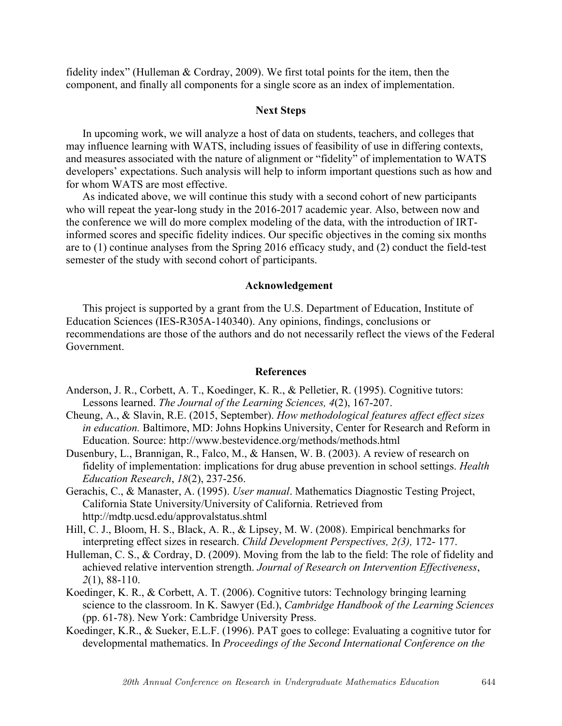fidelity index" (Hulleman & Cordray, 2009). We first total points for the item, then the component, and finally all components for a single score as an index of implementation.

# **Next Steps**

In upcoming work, we will analyze a host of data on students, teachers, and colleges that may influence learning with WATS, including issues of feasibility of use in differing contexts, and measures associated with the nature of alignment or "fidelity" of implementation to WATS developers' expectations. Such analysis will help to inform important questions such as how and for whom WATS are most effective.

As indicated above, we will continue this study with a second cohort of new participants who will repeat the year-long study in the 2016-2017 academic year. Also, between now and the conference we will do more complex modeling of the data, with the introduction of IRTinformed scores and specific fidelity indices. Our specific objectives in the coming six months are to (1) continue analyses from the Spring 2016 efficacy study, and (2) conduct the field-test semester of the study with second cohort of participants.

#### **Acknowledgement**

This project is supported by a grant from the U.S. Department of Education, Institute of Education Sciences (IES-R305A-140340). Any opinions, findings, conclusions or recommendations are those of the authors and do not necessarily reflect the views of the Federal Government.

#### **References**

- Anderson, J. R., Corbett, A. T., Koedinger, K. R., & Pelletier, R. (1995). Cognitive tutors: Lessons learned. *The Journal of the Learning Sciences, 4*(2), 167-207.
- Cheung, A., & Slavin, R.E. (2015, September). *How methodological features affect effect sizes in education.* Baltimore, MD: Johns Hopkins University, Center for Research and Reform in Education. Source: http://www.bestevidence.org/methods/methods.html
- Dusenbury, L., Brannigan, R., Falco, M., & Hansen, W. B. (2003). A review of research on fidelity of implementation: implications for drug abuse prevention in school settings. *Health Education Research*, *18*(2), 237-256.
- Gerachis, C., & Manaster, A. (1995). *User manual*. Mathematics Diagnostic Testing Project, California State University/University of California. Retrieved from http://mdtp.ucsd.edu/approvalstatus.shtml
- Hill, C. J., Bloom, H. S., Black, A. R., & Lipsey, M. W. (2008). Empirical benchmarks for interpreting effect sizes in research. *Child Development Perspectives, 2(3),* 172- 177.
- Hulleman, C. S., & Cordray, D. (2009). Moving from the lab to the field: The role of fidelity and achieved relative intervention strength. *Journal of Research on Intervention Effectiveness*, *2*(1), 88-110.
- Koedinger, K. R., & Corbett, A. T. (2006). Cognitive tutors: Technology bringing learning science to the classroom. In K. Sawyer (Ed.), *Cambridge Handbook of the Learning Sciences* (pp. 61-78). New York: Cambridge University Press.
- Koedinger, K.R., & Sueker, E.L.F. (1996). PAT goes to college: Evaluating a cognitive tutor for developmental mathematics. In *Proceedings of the Second International Conference on the*